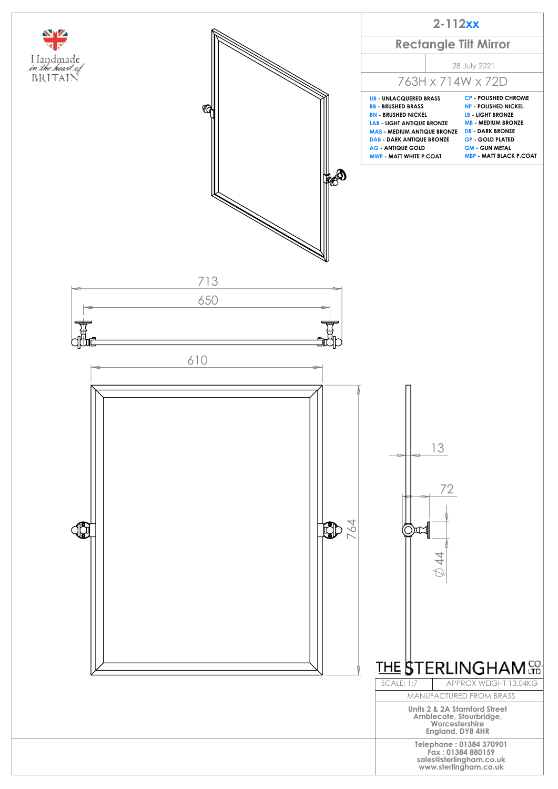